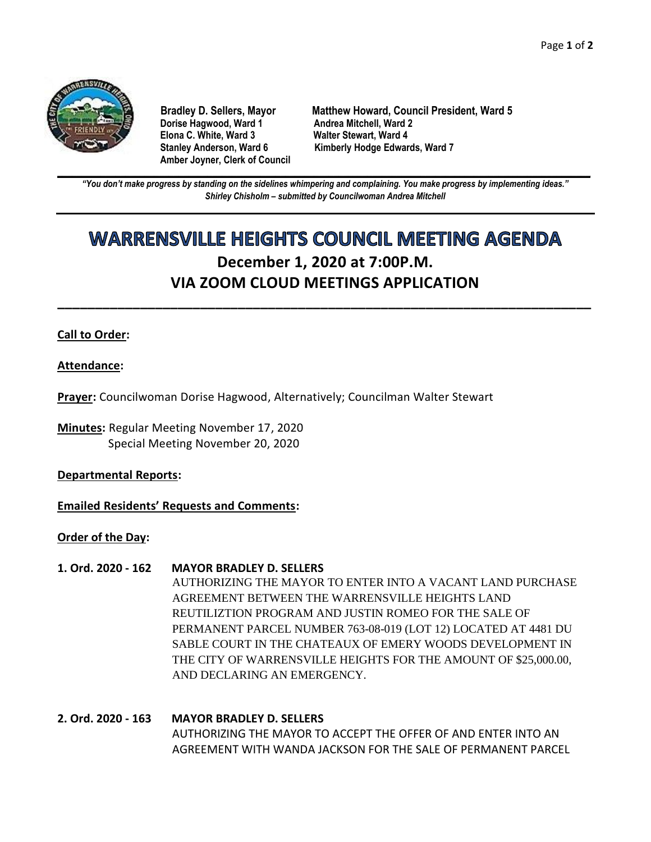

**Dorise Hagwood, Ward 1 Elona C. White, Ward 3 Walter Stewart, Ward 4 Amber Joyner, Clerk of Council**

**Bradley D. Sellers, Mayor Matthew Howard, Council President, Ward 5** Stanley Anderson, Ward 6 Kimberly Hodge Edwards, Ward 7

**\_\_\_\_\_\_\_\_\_\_\_\_\_\_\_\_\_\_\_\_\_\_\_\_\_\_\_\_\_\_\_\_\_\_\_\_\_\_\_\_\_\_\_\_\_\_\_\_\_\_\_\_\_\_\_\_\_\_\_\_\_\_\_\_\_\_\_\_\_\_\_\_\_\_\_\_\_\_\_\_\_\_\_\_\_\_\_\_\_\_\_\_\_\_\_\_\_\_\_\_\_\_\_\_\_\_\_\_\_\_** *"You don't make progress by standing on the sidelines whimpering and complaining. You make progress by implementing ideas." Shirley Chisholm – submitted by Councilwoman Andrea Mitchell*

# **WARRENSVILLE HEIGHTS COUNCIL MEETING AGENDA December 1, 2020 at 7:00P.M. VIA ZOOM CLOUD MEETINGS APPLICATION**

**\_\_\_\_\_\_\_\_\_\_\_\_\_\_\_\_\_\_\_\_\_\_\_\_\_\_\_\_\_\_\_\_\_\_\_\_\_\_\_\_\_\_\_\_\_\_\_\_\_\_\_\_\_\_\_\_\_\_\_\_\_\_\_\_\_\_\_\_\_\_\_**

### **Call to Order:**

#### **Attendance:**

**Prayer:** Councilwoman Dorise Hagwood, Alternatively; Councilman Walter Stewart

**Minutes:** Regular Meeting November 17, 2020 Special Meeting November 20, 2020

**Departmental Reports:**

**Emailed Residents' Requests and Comments:**

#### **Order of the Day:**

#### **1. Ord. 2020 - 162 MAYOR BRADLEY D. SELLERS**

AUTHORIZING THE MAYOR TO ENTER INTO A VACANT LAND PURCHASE AGREEMENT BETWEEN THE WARRENSVILLE HEIGHTS LAND REUTILIZTION PROGRAM AND JUSTIN ROMEO FOR THE SALE OF PERMANENT PARCEL NUMBER 763-08-019 (LOT 12) LOCATED AT 4481 DU SABLE COURT IN THE CHATEAUX OF EMERY WOODS DEVELOPMENT IN THE CITY OF WARRENSVILLE HEIGHTS FOR THE AMOUNT OF \$25,000.00, AND DECLARING AN EMERGENCY.

## **2. Ord. 2020 - 163 MAYOR BRADLEY D. SELLERS** AUTHORIZING THE MAYOR TO ACCEPT THE OFFER OF AND ENTER INTO AN AGREEMENT WITH WANDA JACKSON FOR THE SALE OF PERMANENT PARCEL